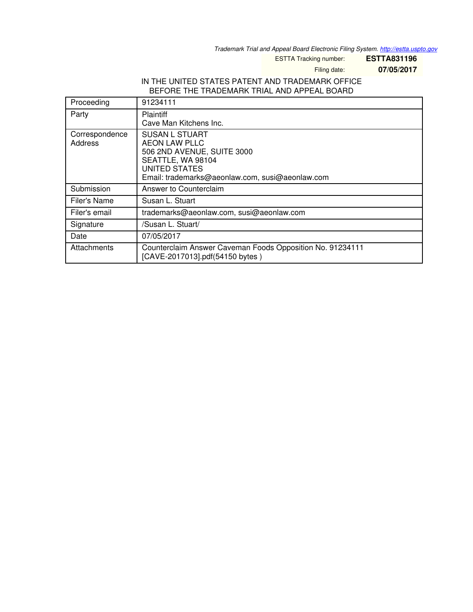*Trademark Trial and Appeal Board Electronic Filing System. <http://estta.uspto.gov>*

ESTTA Tracking number: **ESTTA831196**

Filing date: **07/05/2017**

### IN THE UNITED STATES PATENT AND TRADEMARK OFFICE BEFORE THE TRADEMARK TRIAL AND APPEAL BOARD

| Proceeding                | 91234111                                                                                                                                                                    |
|---------------------------|-----------------------------------------------------------------------------------------------------------------------------------------------------------------------------|
| Party                     | <b>Plaintiff</b><br>Cave Man Kitchens Inc.                                                                                                                                  |
| Correspondence<br>Address | <b>SUSAN L STUART</b><br><b>AEON LAW PLLC</b><br>506 2ND AVENUE, SUITE 3000<br>SEATTLE, WA 98104<br><b>UNITED STATES</b><br>Email: trademarks@aeonlaw.com, susi@aeonlaw.com |
| Submission                | Answer to Counterclaim                                                                                                                                                      |
| Filer's Name              | Susan L. Stuart                                                                                                                                                             |
| Filer's email             | trademarks@aeonlaw.com, susi@aeonlaw.com                                                                                                                                    |
| Signature                 | /Susan L. Stuart/                                                                                                                                                           |
| Date                      | 07/05/2017                                                                                                                                                                  |
| Attachments               | Counterclaim Answer Caveman Foods Opposition No. 91234111<br>[CAVE-2017013].pdf(54150 bytes)                                                                                |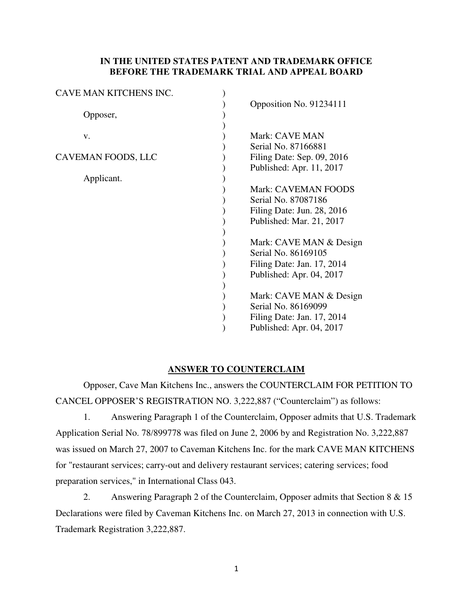## **IN THE UNITED STATES PATENT AND TRADEMARK OFFICE BEFORE THE TRADEMARK TRIAL AND APPEAL BOARD**

| CAVE MAN KITCHENS INC. |                                                                                                                                                                                                                                                                                                                                          |
|------------------------|------------------------------------------------------------------------------------------------------------------------------------------------------------------------------------------------------------------------------------------------------------------------------------------------------------------------------------------|
| Opposer,               | Opposition No. 91234111                                                                                                                                                                                                                                                                                                                  |
| v.                     | Mark: CAVE MAN<br>Serial No. 87166881                                                                                                                                                                                                                                                                                                    |
| CAVEMAN FOODS, LLC     | Filing Date: Sep. 09, 2016<br>Published: Apr. 11, 2017                                                                                                                                                                                                                                                                                   |
| Applicant.             | <b>Mark: CAVEMAN FOODS</b><br>Serial No. 87087186<br>Filing Date: Jun. $28$ , $2016$<br>Published: Mar. 21, 2017<br>Mark: CAVE MAN & Design<br>Serial No. 86169105<br>Filing Date: Jan. 17, 2014<br>Published: Apr. 04, 2017<br>Mark: CAVE MAN & Design<br>Serial No. 86169099<br>Filing Date: Jan. 17, 2014<br>Published: Apr. 04, 2017 |

# **ANSWER TO COUNTERCLAIM**

Opposer, Cave Man Kitchens Inc., answers the COUNTERCLAIM FOR PETITION TO CANCEL OPPOSER'S REGISTRATION NO. 3,222,887 ("Counterclaim") as follows:

1. Answering Paragraph 1 of the Counterclaim, Opposer admits that U.S. Trademark Application Serial No. 78/899778 was filed on June 2, 2006 by and Registration No. 3,222,887 was issued on March 27, 2007 to Caveman Kitchens Inc. for the mark CAVE MAN KITCHENS for "restaurant services; carry-out and delivery restaurant services; catering services; food preparation services," in International Class 043.

2. Answering Paragraph 2 of the Counterclaim, Opposer admits that Section 8 & 15 Declarations were filed by Caveman Kitchens Inc. on March 27, 2013 in connection with U.S. Trademark Registration 3,222,887.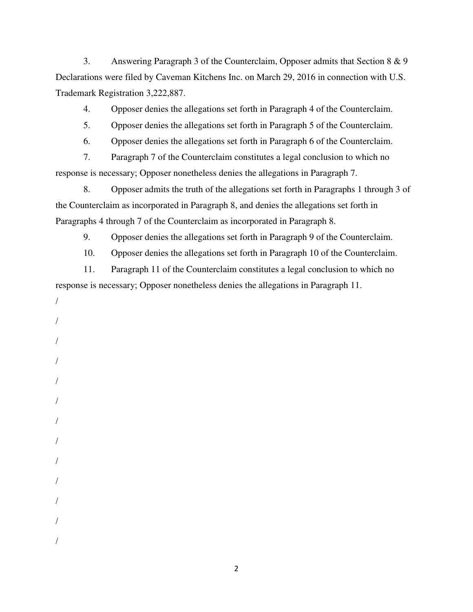3. Answering Paragraph 3 of the Counterclaim, Opposer admits that Section 8 & 9 Declarations were filed by Caveman Kitchens Inc. on March 29, 2016 in connection with U.S. Trademark Registration 3,222,887.

4. Opposer denies the allegations set forth in Paragraph 4 of the Counterclaim.

5. Opposer denies the allegations set forth in Paragraph 5 of the Counterclaim.

6. Opposer denies the allegations set forth in Paragraph 6 of the Counterclaim.

7. Paragraph 7 of the Counterclaim constitutes a legal conclusion to which no response is necessary; Opposer nonetheless denies the allegations in Paragraph 7.

8. Opposer admits the truth of the allegations set forth in Paragraphs 1 through 3 of the Counterclaim as incorporated in Paragraph 8, and denies the allegations set forth in Paragraphs 4 through 7 of the Counterclaim as incorporated in Paragraph 8.

9. Opposer denies the allegations set forth in Paragraph 9 of the Counterclaim.

10. Opposer denies the allegations set forth in Paragraph 10 of the Counterclaim.

11. Paragraph 11 of the Counterclaim constitutes a legal conclusion to which no response is necessary; Opposer nonetheless denies the allegations in Paragraph 11.

/ / / / / / / / / /

/

/

/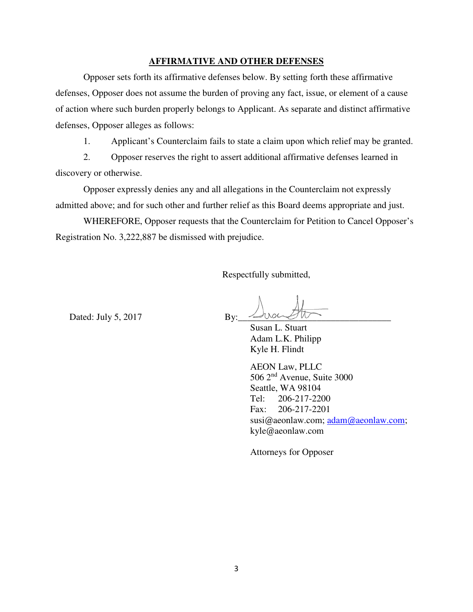#### **AFFIRMATIVE AND OTHER DEFENSES**

Opposer sets forth its affirmative defenses below. By setting forth these affirmative defenses, Opposer does not assume the burden of proving any fact, issue, or element of a cause of action where such burden properly belongs to Applicant. As separate and distinct affirmative defenses, Opposer alleges as follows:

1. Applicant's Counterclaim fails to state a claim upon which relief may be granted.

2. Opposer reserves the right to assert additional affirmative defenses learned in discovery or otherwise.

Opposer expressly denies any and all allegations in the Counterclaim not expressly admitted above; and for such other and further relief as this Board deems appropriate and just.

WHEREFORE, Opposer requests that the Counterclaim for Petition to Cancel Opposer's Registration No. 3,222,887 be dismissed with prejudice.

Respectfully submitted,

Dated: July  $5, 2017$  By:

 Susan L. Stuart Adam L.K. Philipp Kyle H. Flindt

 AEON Law, PLLC 506 2nd Avenue, Suite 3000 Seattle, WA 98104 Tel: 206-217-2200 Fax: 206-217-2201 susi@aeonlaw.com; [adam@aeonlaw.com;](mailto:adam@aeonlaw.com) kyle@aeonlaw.com

Attorneys for Opposer